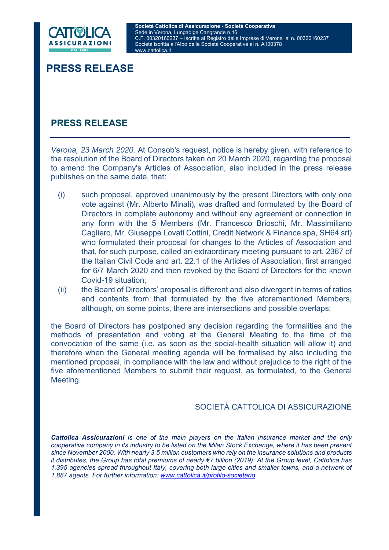

# PRESS RELEASE

# PRESS RELEASE

Verona, 23 March 2020. At Consob's request, notice is hereby given, with reference to the resolution of the Board of Directors taken on 20 March 2020, regarding the proposal to amend the Company's Articles of Association, also included in the press release publishes on the same date, that:

- (i) such proposal, approved unanimously by the present Directors with only one vote against (Mr. Alberto Minali), was drafted and formulated by the Board of Directors in complete autonomy and without any agreement or connection in any form with the 5 Members (Mr. Francesco Brioschi, Mr. Massimiliano Cagliero, Mr. Giuseppe Lovati Cottini, Credit Network & Finance spa, SH64 srl) who formulated their proposal for changes to the Articles of Association and that, for such purpose, called an extraordinary meeting pursuant to art. 2367 of the Italian Civil Code and art. 22.1 of the Articles of Association, first arranged for 6/7 March 2020 and then revoked by the Board of Directors for the known Covid-19 situation;
- (ii) the Board of Directors' proposal is different and also divergent in terms of ratios and contents from that formulated by the five aforementioned Members, although, on some points, there are intersections and possible overlaps;

the Board of Directors has postponed any decision regarding the formalities and the methods of presentation and voting at the General Meeting to the time of the convocation of the same (i.e. as soon as the social-health situation will allow it) and therefore when the General meeting agenda will be formalised by also including the mentioned proposal, in compliance with the law and without prejudice to the right of the five aforementioned Members to submit their request, as formulated, to the General Meeting.

# SOCIETÀ CATTOLICA DI ASSICURAZIONE

Cattolica Assicurazioni is one of the main players on the Italian insurance market and the only cooperative company in its industry to be listed on the Milan Stock Exchange, where it has been present since November 2000. With nearly 3.5 million customers who rely on the insurance solutions and products it distributes, the Group has total premiums of nearly €7 billion (2019). At the Group level, Cattolica has 1,395 agencies spread throughout Italy, covering both large cities and smaller towns, and a network of 1,887 agents. For further information: www.cattolica.it/profilo-societario